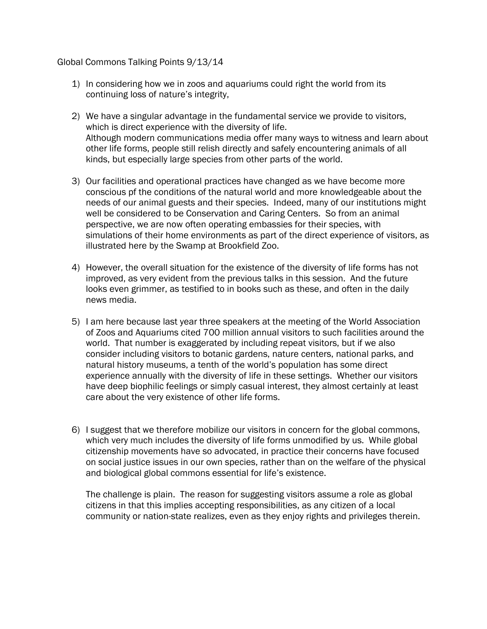## Global Commons Talking Points 9/13/14

- 1) In considering how we in zoos and aquariums could right the world from its continuing loss of nature's integrity,
- 2) We have a singular advantage in the fundamental service we provide to visitors, which is direct experience with the diversity of life. Although modern communications media offer many ways to witness and learn about other life forms, people still relish directly and safely encountering animals of all kinds, but especially large species from other parts of the world.
- 3) Our facilities and operational practices have changed as we have become more conscious pf the conditions of the natural world and more knowledgeable about the needs of our animal guests and their species. Indeed, many of our institutions might well be considered to be Conservation and Caring Centers. So from an animal perspective, we are now often operating embassies for their species, with simulations of their home environments as part of the direct experience of visitors, as illustrated here by the Swamp at Brookfield Zoo.
- 4) However, the overall situation for the existence of the diversity of life forms has not improved, as very evident from the previous talks in this session. And the future looks even grimmer, as testified to in books such as these, and often in the daily news media.
- 5) I am here because last year three speakers at the meeting of the World Association of Zoos and Aquariums cited 700 million annual visitors to such facilities around the world. That number is exaggerated by including repeat visitors, but if we also consider including visitors to botanic gardens, nature centers, national parks, and natural history museums, a tenth of the world's population has some direct experience annually with the diversity of life in these settings. Whether our visitors have deep biophilic feelings or simply casual interest, they almost certainly at least care about the very existence of other life forms.
- 6) I suggest that we therefore mobilize our visitors in concern for the global commons, which very much includes the diversity of life forms unmodified by us. While global citizenship movements have so advocated, in practice their concerns have focused on social justice issues in our own species, rather than on the welfare of the physical and biological global commons essential for life's existence.

The challenge is plain. The reason for suggesting visitors assume a role as global citizens in that this implies accepting responsibilities, as any citizen of a local community or nation-state realizes, even as they enjoy rights and privileges therein.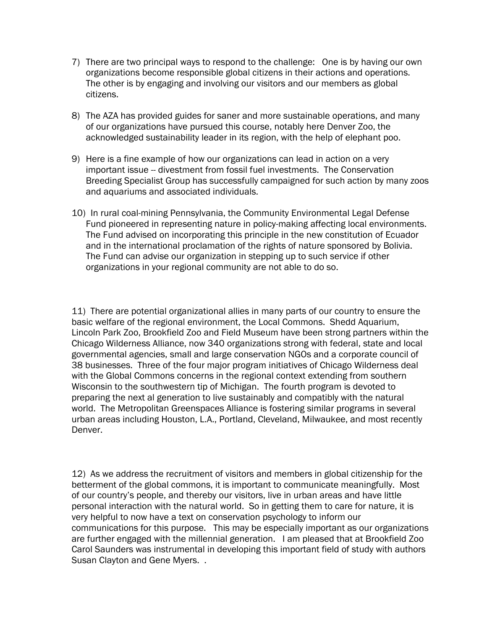- 7) There are two principal ways to respond to the challenge: One is by having our own organizations become responsible global citizens in their actions and operations. The other is by engaging and involving our visitors and our members as global citizens.
- 8) The AZA has provided guides for saner and more sustainable operations, and many of our organizations have pursued this course, notably here Denver Zoo, the acknowledged sustainability leader in its region, with the help of elephant poo.
- 9) Here is a fine example of how our organizations can lead in action on a very important issue -- divestment from fossil fuel investments. The Conservation Breeding Specialist Group has successfully campaigned for such action by many zoos and aquariums and associated individuals.
- 10) In rural coal-mining Pennsylvania, the Community Environmental Legal Defense Fund pioneered in representing nature in policy-making affecting local environments. The Fund advised on incorporating this principle in the new constitution of Ecuador and in the international proclamation of the rights of nature sponsored by Bolivia. The Fund can advise our organization in stepping up to such service if other organizations in your regional community are not able to do so.

11) There are potential organizational allies in many parts of our country to ensure the basic welfare of the regional environment, the Local Commons. Shedd Aquarium, Lincoln Park Zoo, Brookfield Zoo and Field Museum have been strong partners within the Chicago Wilderness Alliance, now 340 organizations strong with federal, state and local governmental agencies, small and large conservation NGOs and a corporate council of 38 businesses. Three of the four major program initiatives of Chicago Wilderness deal with the Global Commons concerns in the regional context extending from southern Wisconsin to the southwestern tip of Michigan. The fourth program is devoted to preparing the next al generation to live sustainably and compatibly with the natural world. The Metropolitan Greenspaces Alliance is fostering similar programs in several urban areas including Houston, L.A., Portland, Cleveland, Milwaukee, and most recently Denver.

12) As we address the recruitment of visitors and members in global citizenship for the betterment of the global commons, it is important to communicate meaningfully. Most of our country's people, and thereby our visitors, live in urban areas and have little personal interaction with the natural world. So in getting them to care for nature, it is very helpful to now have a text on conservation psychology to inform our communications for this purpose. This may be especially important as our organizations are further engaged with the millennial generation. I am pleased that at Brookfield Zoo Carol Saunders was instrumental in developing this important field of study with authors Susan Clayton and Gene Myers. .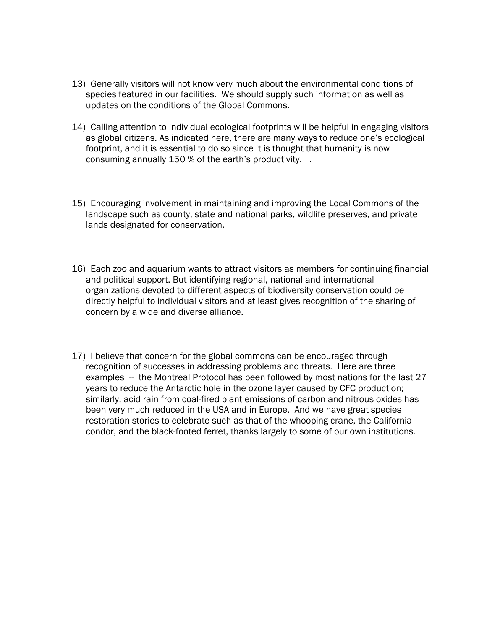- 13) Generally visitors will not know very much about the environmental conditions of species featured in our facilities. We should supply such information as well as updates on the conditions of the Global Commons.
- 14) Calling attention to individual ecological footprints will be helpful in engaging visitors as global citizens. As indicated here, there are many ways to reduce one's ecological footprint, and it is essential to do so since it is thought that humanity is now consuming annually 150 % of the earth's productivity. .
- 15) Encouraging involvement in maintaining and improving the Local Commons of the landscape such as county, state and national parks, wildlife preserves, and private lands designated for conservation.
- 16) Each zoo and aquarium wants to attract visitors as members for continuing financial and political support. But identifying regional, national and international organizations devoted to different aspects of biodiversity conservation could be directly helpful to individual visitors and at least gives recognition of the sharing of concern by a wide and diverse alliance.
- 17) I believe that concern for the global commons can be encouraged through recognition of successes in addressing problems and threats. Here are three examples -- the Montreal Protocol has been followed by most nations for the last 27 years to reduce the Antarctic hole in the ozone layer caused by CFC production; similarly, acid rain from coal-fired plant emissions of carbon and nitrous oxides has been very much reduced in the USA and in Europe. And we have great species restoration stories to celebrate such as that of the whooping crane, the California condor, and the black-footed ferret, thanks largely to some of our own institutions.